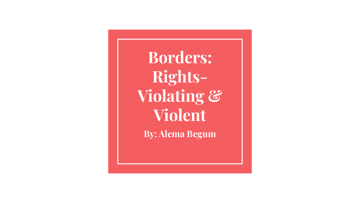**Borders: Rights-Violating & Violent** 

**By: Alema Begum**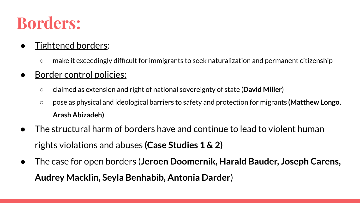### **Borders:**

### Tightened borders:

○ make it exceedingly difficult for immigrants to seek naturalization and permanent citizenship

#### Border control policies:

- claimed as extension and right of national sovereignty of state (**David Miller**)
- pose as physical and ideological barriers to safety and protection for migrants **(Matthew Longo, Arash Abizadeh)**
- The structural harm of borders have and continue to lead to violent human rights violations and abuses **(Case Studies 1 & 2)**
- The case for open borders (**Jeroen Doomernik, Harald Bauder, Joseph Carens, Audrey Macklin, Seyla Benhabib, Antonia Darder**)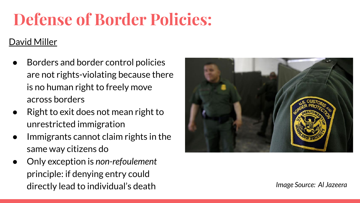# **Defense of Border Policies:**

#### David Miller

- Borders and border control policies are not rights-violating because there is no human right to freely move across borders
- Right to exit does not mean right to unrestricted immigration
- Immigrants cannot claim rights in the same way citizens do
- Only exception is *non-refoulement* principle: if denying entry could directly lead to individual's death *Image Source: Al Jazeera*

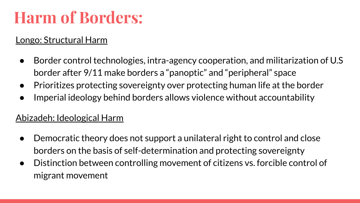## **Harm of Borders:**

#### Longo: Structural Harm

- Border control technologies, intra-agency cooperation, and militarization of U.S border after 9/11 make borders a "panoptic" and "peripheral" space
- Prioritizes protecting sovereignty over protecting human life at the border
- Imperial ideology behind borders allows violence without accountability

#### Abizadeh: Ideological Harm

- Democratic theory does not support a unilateral right to control and close borders on the basis of self-determination and protecting sovereignty
- Distinction between controlling movement of citizens vs. forcible control of migrant movement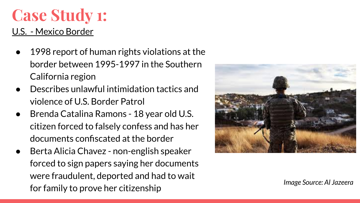# **Case Study 1:**

#### U.S. - Mexico Border

- 1998 report of human rights violations at the border between 1995-1997 in the Southern California region
- Describes unlawful intimidation tactics and violence of U.S. Border Patrol
- Brenda Catalina Ramons 18 year old U.S. citizen forced to falsely confess and has her documents confiscated at the border
- Berta Alicia Chavez non-english speaker forced to sign papers saying her documents were fraudulent, deported and had to wait for family to prove her citizenship *Image Source: Al Jazeera*

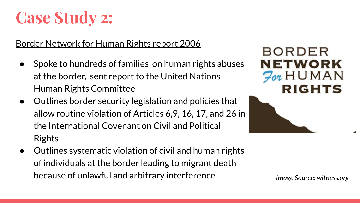## **Case Study 2:**

#### Border Network for Human Rights report 2006

- Spoke to hundreds of families on human rights abuses at the border, sent report to the United Nations Human Rights Committee
- Outlines border security legislation and policies that allow routine violation of Articles 6,9, 16, 17, and 26 in the International Covenant on Civil and Political Rights
- Outlines systematic violation of civil and human rights of individuals at the border leading to migrant death because of unlawful and arbitrary interference *Image Source: witness.org*

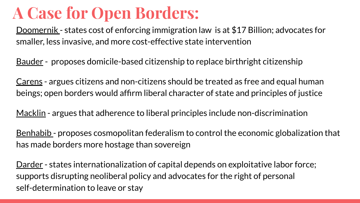### **A Case for Open Borders:**

Doomernik - states cost of enforcing immigration law is at \$17 Billion; advocates for smaller, less invasive, and more cost-effective state intervention

Bauder - proposes domicile-based citizenship to replace birthright citizenship

Carens - argues citizens and non-citizens should be treated as free and equal human beings; open borders would affirm liberal character of state and principles of justice

Macklin - argues that adherence to liberal principles include non-discrimination

Benhabib - proposes cosmopolitan federalism to control the economic globalization that has made borders more hostage than sovereign

Darder - states internationalization of capital depends on exploitative labor force; supports disrupting neoliberal policy and advocates for the right of personal self-determination to leave or stay